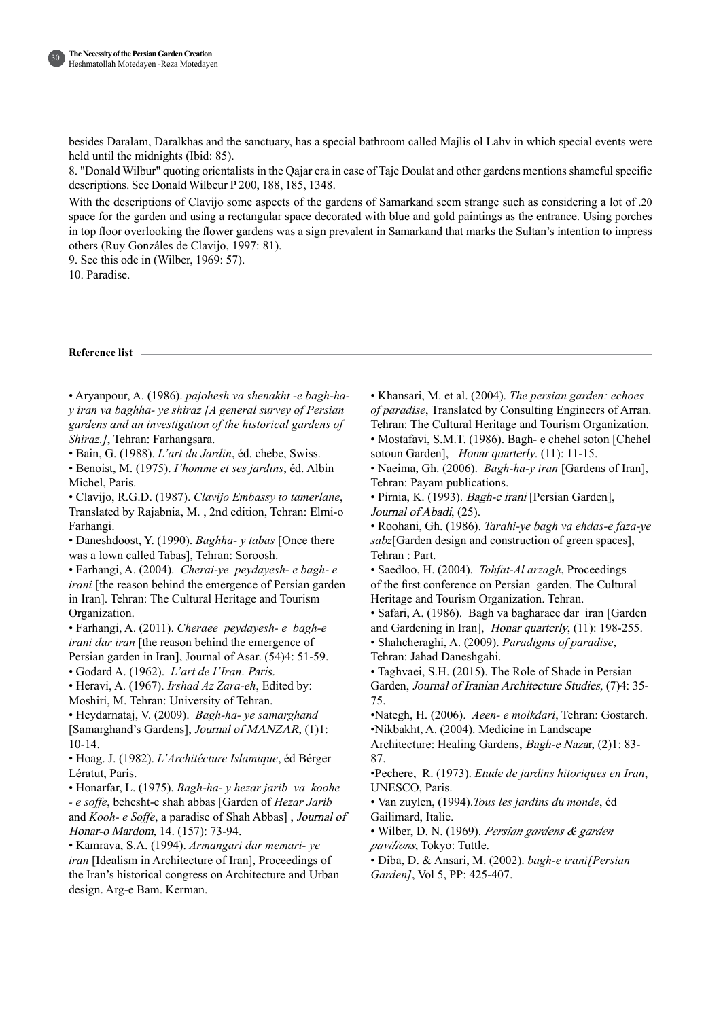30

besides Daralam, Daralkhas and the sanctuary, has a special bathroom called Majlis ol Lahv in which special events were held until the midnights (Ibid: 85).

8. "Donald Wilbur" quoting orientalists in the Qajar era in case of Taje Doulat and other gardens mentions shameful specific descriptions. See Donald Wilbeur P 200, 188, 185, 1348.

With the descriptions of Clavijo some aspects of the gardens of Samarkand seem strange such as considering a lot of .20 space for the garden and using a rectangular space decorated with blue and gold paintings as the entrance. Using porches in top floor overlooking the flower gardens was a sign prevalent in Samarkand that marks the Sultan's intention to impress others (Ruy Gonzáles de Clavijo, 1997: 81).

9. See this ode in (Wilber, 1969: 57).

10. Paradise.

#### **Reference** list

• Aryanpour, A. (1986). *pajohesh va shenakht -e bagh-ha-*<br>y*iran va baghha- ye shiraz [A general survey of Persian* gardens and an investigation of the historical gardens of Shiraz.], Tehran: Farhangsara.

• Bain, G. (1988). *L'art du Jardin*, éd. chebe, Swiss.

• Benoist, M. (1975). *I'homme et ses jardins*, éd. Albin Michel, Paris.

• Clavijo, R.G.D. (1987). *Clavijo Embassy to tamerlane*, Translated by Rajabnia, M., 2nd edition, Tehran: Elmi-o .Farhangi

• Daneshdoost, Y. (1990). *Baghha- y tabas* [Once there was a lown called Tabas], Tehran: Soroosh.

• Farhangi, A. (2004). *Cherai-ye-peydayesh-e bagh-e irani* [the reason behind the emergence of Persian garden in Iran]. Tehran: The Cultural Heritage and Tourism Organization.

• Farhangi, A. (2011). Cheraee peydayesh- e bagh-e *irani dar iran* [the reason behind the emergence of Persian garden in Iran], Journal of Asar. (54)4: 51-59.

• Godard A. (1962). *L'art de l'Iran. Paris.* 

• Heravi, A. (1967). *Irshad Az Zara-eh*. Edited by: Moshiri, M. Tehran: University of Tehran.

• Heydarnataj, V. (2009). Bagh-ha-ye samarghand [Samarghand's Gardens], *Journal of MANZAR*,  $(1)1$ : 10-14.

• Hoag. J. (1982). *L'Architécture Islamique*, éd Bérger Lératut, Paris.

• Honarfar, L. (1975). *Bagh-ha- y hezar jarib va koohe* - *e soffe*, behesht-e shah abbas [Garden of *Hezar Jarib* and *Kooh- e Soffe*, a paradise of Shah Abbas], *Journal of* Honar-o Mardom, 14. (157): 73-94.

• Kamrava, S.A. (1994). Armangari dar memari-ye *iran* [Idealism in Architecture of Iran], Proceedings of the Iran's historical congress on Architecture and Urban design. Arg-e Bam. Kerman.

• Khansari, M. et al. (2004). *The persian garden: echoes* of paradise, Translated by Consulting Engineers of Arran. Tehran: The Cultural Heritage and Tourism Organization.

• Mostafavi, S.M.T. (1986). Bagh- e chehel soton [Chehel sotoun Garden], Honar quarterly. (11): 11-15.

• Naeima, Gh. (2006). *Bagh-ha-y iran* [Gardens of Iran], Tehran: Payam publications.

• Pirnia, K. (1993). Bagh-e irani [Persian Garden], Journal of Abadi.  $(25)$ .

• Roohani, Gh. (1986). *Tarahi-ve bagh ya ehdas-e faza-ve* sabz[Garden design and construction of green spaces], Tehran: Part.

• Saedloo, H. (2004). *Tohfat-Al arzagh*, Proceedings of the first conference on Persian garden. The Cultural Heritage and Tourism Organization. Tehran.

• Safari, A. (1986). Bagh va bagharaee dar iran [Garden and Gardening in Iran], *Honar quarterly*,  $(11)$ : 198-255.

• Shahcheraghi, A. (2009). Paradigms of paradise, Tehran: Jahad Daneshgahi.

• Taghvaei, S.H. (2015). The Role of Shade in Persian Garden. Journal of Iranian Architecture Studies. (7)4: 35-75.

•Nategh, H. (2006). *Aeen- e molkdari*, Tehran: Gostareh. •Nikbakht, A. (2004). Medicine in Landscape

Architecture: Healing Gardens, Bagh-e Nazar, (2)1: 83-87.

•Pechere, R. (1973). *Etude de jardins hitoriques en Iran*, UNESCO, Paris.

• Van zuylen, (1994). Tous les jardins du monde, éd Gailimard, Italie.

• Wilber, D. N. (1969). Persian gardens & garden pavilions, Tokyo: Tuttle.

• Diba, D. & Ansari, M. (2002). bagh-e irani [Persian Garden], Vol 5, PP: 425-407.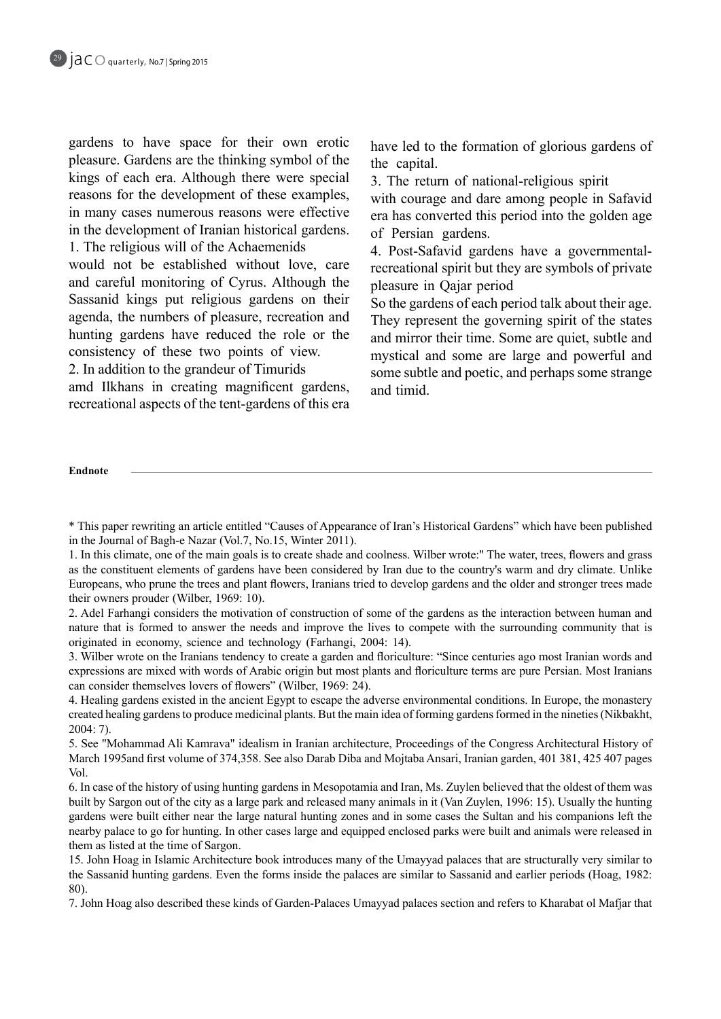gardens to have space for their own erotic pleasure. Gardens are the thinking symbol of the kings of each era. Although there were special reasons for the development of these examples, in many cases numerous reasons were effective in the development of Iranian historical gardens. 1. The religious will of the Achaemenids

would not be established without love, care and careful monitoring of Cyrus. Although the Sassanid kings put religious gardens on their agenda, the numbers of pleasure, recreation and hunting gardens have reduced the role or the consistency of these two points of view.

2. In addition to the grandeur of Timurids

amd Ilkhans in creating magnificent gardens, recreational aspects of the tent-gardens of this era have led to the formation of glorious gardens of the capital.

3. The return of national-religious spirit

with courage and dare among people in Safavid era has converted this period into the golden age of Persian gardens.

recreational spirit but they are symbols of private 4. Post-Safavid gardens have a governmentalpleasure in Oajar period

So the gardens of each period talk about their age. They represent the governing spirit of the states and mirror their time. Some are quiet, subtle and mystical and some are large and powerful and some subtle and poetic, and perhaps some strange and timid

#### **Endnote**

\* This paper rewriting an article entitled "Causes of Appearance of Iran's Historical Gardens" which have been published in the Journal of Bagh-e Nazar (Vol.7, No.15, Winter 2011).

1. In this climate, one of the main goals is to create shade and coolness. Wilber wrote:" The water, trees, flowers and grass as the constituent elements of gardens have been considered by Iran due to the country's warm and dry climate. Unlike Europeans, who prune the trees and plant flowers, Iranians tried to develop gardens and the older and stronger trees made their owners prouder (Wilber, 1969: 10).

2. Adel Farhangi considers the motivation of construction of some of the gardens as the interaction between human and nature that is formed to answer the needs and improve the lives to compete with the surrounding community that is originated in economy, science and technology (Farhangi, 2004: 14).

3. Wilber wrote on the Iranians tendency to create a garden and floriculture: "Since centuries ago most Iranian words and expressions are mixed with words of Arabic origin but most plants and floriculture terms are pure Persian. Most Iranians can consider themselves lovers of flowers" (Wilber, 1969: 24).

4. Healing gardens existed in the ancient Egypt to escape the adverse environmental conditions. In Europe, the monastery created healing gardens to produce medicinal plants. But the main idea of forming gardens formed in the nineties (Nikbakht,  $2004:7$ ).

5. See "Mohammad Ali Kamrava" idealism in Iranian architecture. Proceedings of the Congress Architectural History of March 1995 and first volume of 374, 358. See also Darab Diba and Mojtaba Ansari, Iranian garden, 401 381, 425 407 pages .Vol

6. In case of the history of using hunting gardens in Mesopotamia and Iran, Ms. Zuylen believed that the oldest of them was built by Sargon out of the city as a large park and released many animals in it (Van Zuylen, 1996: 15). Usually the hunting gardens were built either near the large natural hunting zones and in some cases the Sultan and his companions left the nearby palace to go for hunting. In other cases large and equipped enclosed parks were built and animals were released in them as listed at the time of Sargon.

15. John Hoag in Islamic Architecture book introduces many of the Umayyad palaces that are structurally very similar to the Sassanid hunting gardens. Even the forms inside the palaces are similar to Sassanid and earlier periods (Hoag, 1982: .(80

7. John Hoag also described these kinds of Garden-Palaces Umayyad palaces section and refers to Kharabat ol Mafjar that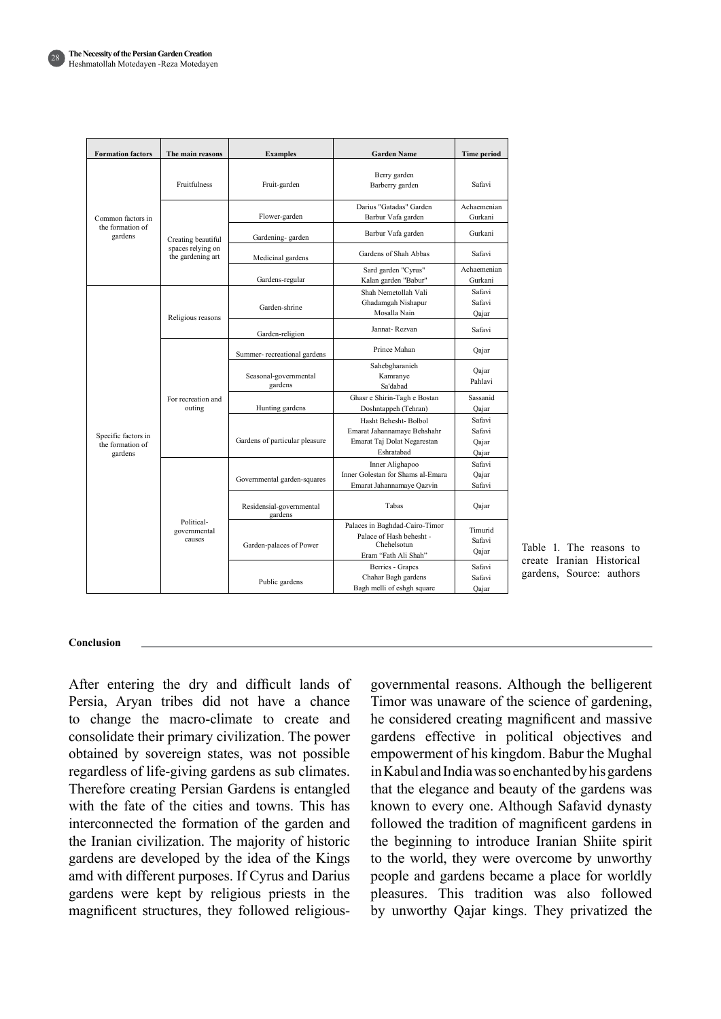| <b>Formation factors</b>                           | The main reasons                                             | <b>Examples</b>                     | <b>Garden Name</b>                                                                                | <b>Time period</b>                 |
|----------------------------------------------------|--------------------------------------------------------------|-------------------------------------|---------------------------------------------------------------------------------------------------|------------------------------------|
| Common factors in<br>the formation of<br>gardens   | <b>Fruitfulness</b>                                          | Fruit-garden                        | Berry garden<br>Barberry garden                                                                   | Safavi                             |
|                                                    | Creating beautiful<br>spaces relying on<br>the gardening art | Flower-garden                       | Darius "Gatadas" Garden<br>Barbur Vafa garden                                                     | Achaemenian<br>Gurkani             |
|                                                    |                                                              | Gardening-garden                    | Barbur Vafa garden                                                                                | Gurkani                            |
|                                                    |                                                              | Medicinal gardens                   | Gardens of Shah Abbas                                                                             | Safavi                             |
|                                                    |                                                              | Gardens-regular                     | Sard garden "Cyrus"<br>Kalan garden "Babur"                                                       | Achaemenian<br>Gurkani             |
| Specific factors in<br>the formation of<br>gardens | Religious reasons                                            | Garden-shrine                       | Shah Nemetollah Vali<br>Ghadamgah Nishapur<br>Mosalla Nain                                        | Safavi<br>Safavi<br>Oajar          |
|                                                    |                                                              | Garden-religion                     | Jannat-Rezvan                                                                                     | Safavi                             |
|                                                    | For recreation and<br>outing                                 | Summer-recreational gardens         | Prince Mahan                                                                                      | Qajar                              |
|                                                    |                                                              | Seasonal-governmental<br>gardens    | Sahebgharanieh<br>Kamranye<br>Sa'dabad                                                            | Qajar<br>Pahlavi                   |
|                                                    |                                                              | Hunting gardens                     | Ghasr e Shirin-Tagh e Bostan<br>Doshntappeh (Tehran)                                              | Sassanid<br>Oajar                  |
|                                                    |                                                              | Gardens of particular pleasure      | Hasht Behesht- Bolbol<br>Emarat Jahannamaye Behshahr<br>Emarat Taj Dolat Negarestan<br>Eshratabad | Safavi<br>Safavi<br>Qajar<br>Qajar |
|                                                    | Political-<br>governmental<br>causes                         | Governmental garden-squares         | Inner Alighapoo<br>Inner Golestan for Shams al-Emara<br>Emarat Jahannamaye Qazvin                 | Safavi<br>Oajar<br>Safavi          |
|                                                    |                                                              | Residensial-governmental<br>gardens | Tabas                                                                                             | Qajar                              |
|                                                    |                                                              | Garden-palaces of Power             | Palaces in Baghdad-Cairo-Timor<br>Palace of Hash behesht -<br>Chehelsotun<br>Eram "Fath Ali Shah" | Timurid<br>Safavi<br>Qajar         |
|                                                    |                                                              | Public gardens                      | Berries - Grapes<br>Chahar Bagh gardens<br>Bagh melli of eshgh square                             | Safavi<br>Safavi<br>Oajar          |

Table 1. The reasons to create Iranian Historical gardens, Source: authors

#### **Conclusion**

After entering the dry and difficult lands of Persia, Aryan tribes did not have a chance to change the macro-climate to create and consolidate their primary civilization. The power obtained by sovereign states, was not possible regardless of life-giving gardens as sub climates. Therefore creating Persian Gardens is entangled with the fate of the cities and towns. This has interconnected the formation of the garden and the Iranian civilization. The majority of historic gardens are developed by the idea of the Kings amd with different purposes. If Cyrus and Darius gardens were kept by religious priests in the magnificent structures, they followed religiousgovernmental reasons. Although the belligerent Timor was unaware of the science of gardening, he considered creating magnificent and massive gardens effective in political objectives and empowerment of his kingdom. Babur the Mughal in Kabul and India was so enchanted by his gardens that the elegance and beauty of the gardens was known to every one. Although Safavid dynasty followed the tradition of magnificent gardens in the beginning to introduce Iranian Shiite spirit to the world, they were overcome by unworthy people and gardens became a place for worldly pleasures. This tradition was also followed by unworthy Qajar kings. They privatized the

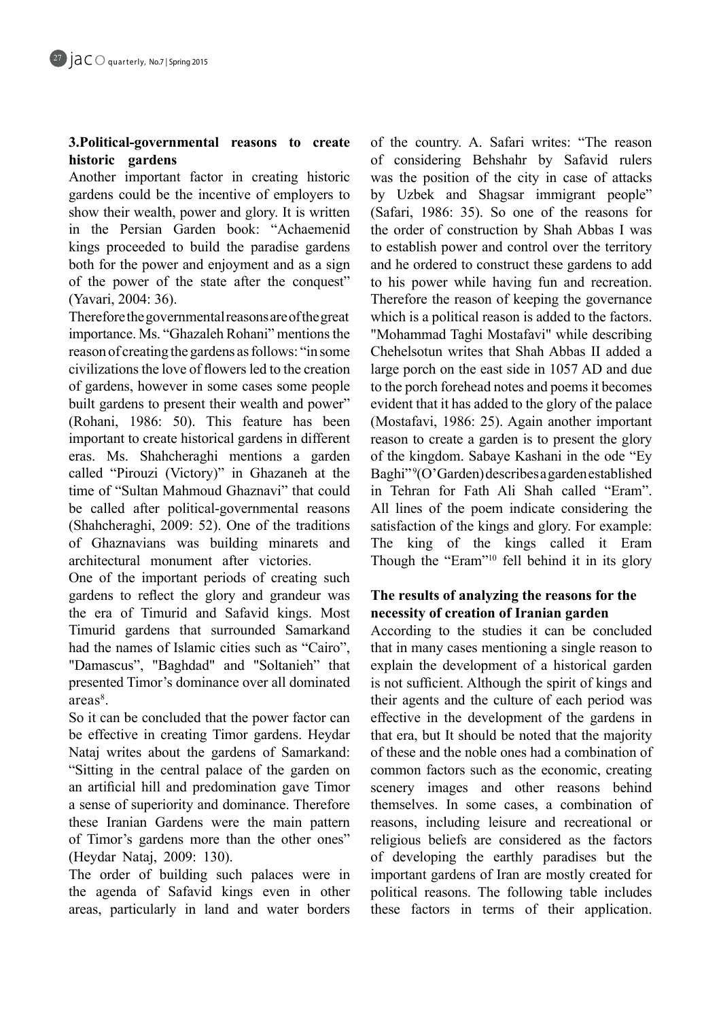# **3. Political-governmental reasons to create gardens historic**

Another important factor in creating historic gardens could be the incentive of employers to show their wealth, power and glory. It is written in the Persian Garden book: "Achaemenid kings proceeded to build the paradise gardens both for the power and enjoyment and as a sign of the power of the state after the conquest" (Yavari, 2004: 36).

Therefore the governmental reasons are of the great importance. Ms. "Ghazaleh Rohani" mentions the reason of creating the gardens as follows: "in some civilizations the love of flowers led to the creation of gardens, however in some cases some people built gardens to present their wealth and power" (Rohani, 1986: 50). This feature has been important to create historical gardens in different eras. Ms. Shahcheraghi mentions a garden called "Pirouzi (Victory)" in Ghazaneh at the time of "Sultan Mahmoud Ghaznavi" that could be called after political-governmental reasons  $Shabcheraghi, 2009: 52$ ). One of the traditions of Ghaznavians was building minarets and architectural monument after victories.

One of the important periods of creating such gardens to reflect the glory and grandeur was the era of Timurid and Safavid kings. Most Timurid gardens that surrounded Samarkand had the names of Islamic cities such as "Cairo", "Damascus", "Baghdad" and "Soltanieh" that presented Timor's dominance over all dominated areas<sup>8</sup>.

So it can be concluded that the power factor can be effective in creating Timor gardens. Heydar Nataj writes about the gardens of Samarkand: "Sitting in the central palace of the garden on an artificial hill and predomination gave Timor a sense of superiority and dominance. Therefore these Iranian Gardens were the main pattern of Timor's gardens more than the other ones" (Heydar Nataj, 2009: 130).

The order of building such palaces were in the agenda of Safavid kings even in other areas, particularly in land and water borders of the country. A. Safari writes: "The reason of considering Behshahr by Safavid rulers was the position of the city in case of attacks by Uzbek and Shagsar immigrant people" (Safari, 1986: 35). So one of the reasons for the order of construction by Shah Abbas I was to establish power and control over the territory and he ordered to construct these gardens to add to his power while having fun and recreation. Therefore the reason of keeping the governance which is a political reason is added to the factors. "Mohammad Taghi Mostafavi" while describing Chehelsotun writes that Shah Abbas II added a large porch on the east side in 1057 AD and due to the porch forehead notes and poems it becomes evident that it has added to the glory of the palace (Mostafavi, 1986: 25). Again another important reason to create a garden is to present the glory of the kingdom. Sabaye Kashani in the ode "Ey Baghi"<sup>9</sup>(O'Garden) describes a garden established in Tehran for Fath Ali Shah called "Eram". All lines of the poem indicate considering the satisfaction of the kings and glory. For example: The king of the kings called it Eram Though the "Eram"<sup>10</sup> fell behind it in its glory

## The results of analyzing the reasons for the **necessity** of creation of Iranian garden

According to the studies it can be concluded that in many cases mentioning a single reason to explain the development of a historical garden is not sufficient. Although the spirit of kings and their agents and the culture of each period was effective in the development of the gardens in that era, but It should be noted that the majority of these and the noble ones had a combination of common factors such as the economic, creating scenery images and other reasons behind themselves. In some cases, a combination of reasons, including leisure and recreational or religious beliefs are considered as the factors of developing the earthly paradises but the important gardens of Iran are mostly created for political reasons. The following table includes these factors in terms of their application.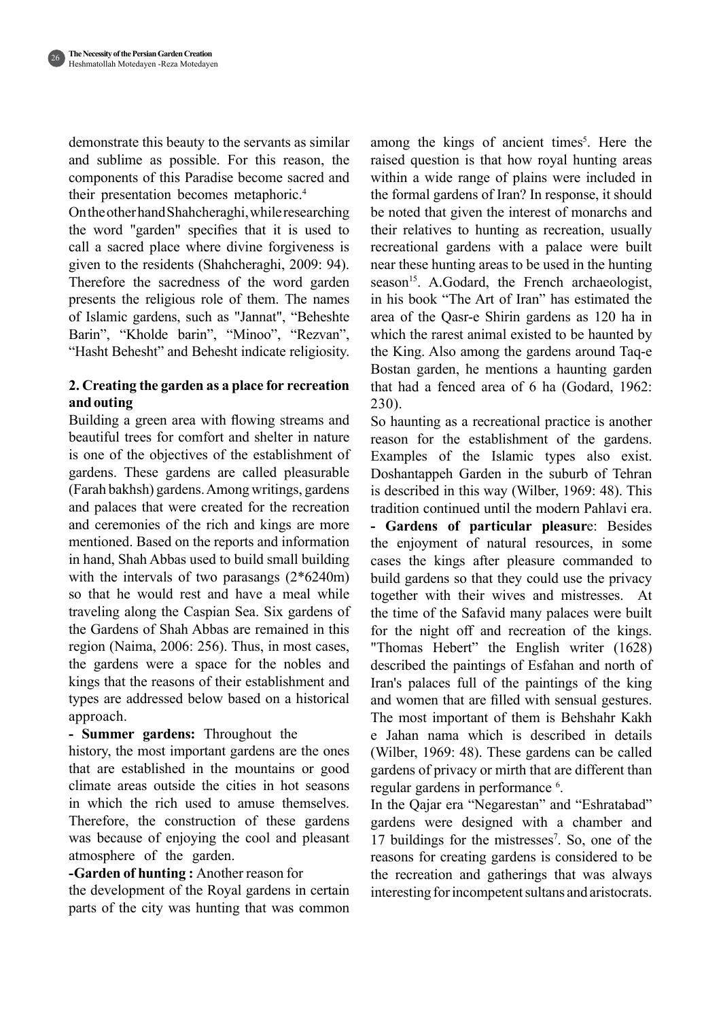demonstrate this beauty to the servants as similar and sublime as possible. For this reason, the components of this Paradise become sacred and their presentation becomes metaphoric.<sup>4</sup>

On the other hand Shahcheraghi, while researching the word "garden" specifies that it is used to call a sacred place where divine forgiveness is given to the residents (Shahcheraghi,  $2009: 94$ ). Therefore the sacredness of the word garden presents the religious role of them. The names of Islamic gardens, such as "Jannat", "Beheshte Barin", "Kholde barin", "Minoo", "Rezvan", "Hasht Behesht" and Behesht indicate religiosity.

## **2. Creating the garden as a place for recreation outing and**

Building a green area with flowing streams and beautiful trees for comfort and shelter in nature is one of the objectives of the establishment of gardens. These gardens are called pleasurable (Farah bakhsh) gardens. Among writings, gardens and palaces that were created for the recreation and ceremonies of the rich and kings are more mentioned. Based on the reports and information in hand, Shah Abbas used to build small building with the intervals of two parasangs  $(2*6240m)$ so that he would rest and have a meal while traveling along the Caspian Sea. Six gardens of the Gardens of Shah Abbas are remained in this region (Naima,  $2006: 256$ ). Thus, in most cases, the gardens were a space for the nobles and kings that the reasons of their establishment and types are addressed below based on a historical .approach

## - **Summer gardens:** Throughout the

history, the most important gardens are the ones that are established in the mountains or good climate areas outside the cities in hot seasons in which the rich used to amuse themselves. Therefore, the construction of these gardens was because of enjoying the cool and pleasant atmosphere of the garden.

## **-Garden of hunting :** Another reason for

the development of the Royal gardens in certain parts of the city was hunting that was common

among the kings of ancient times<sup>5</sup>. Here the raised question is that how royal hunting areas within a wide range of plains were included in the formal gardens of Iran? In response, it should be noted that given the interest of monarchs and their relatives to hunting as recreation, usually recreational gardens with a palace were built hear these hunting areas to be used in the hunting season<sup>15</sup>. A.Godard, the French archaeologist, in his book "The Art of Iran" has estimated the area of the Qasr-e Shirin gardens as 120 ha in which the rarest animal existed to be haunted by the King. Also among the gardens around Taq-e Bostan garden, he mentions a haunting garden that had a fenced area of  $6$  ha (Godard, 1962:  $230$ ).

So haunting as a recreational practice is another reason for the establishment of the gardens. Examples of the Islamic types also exist. Doshantappeh Garden in the suburb of Tehran is described in this way (Wilber, 1969: 48). This tradition continued until the modern Pahlavi era. - Gardens of particular pleasure: Besides the enjoyment of natural resources, in some cases the kings after pleasure commanded to build gardens so that they could use the privacy together with their wives and mistresses. At the time of the Safavid many palaces were built for the night off and recreation of the kings. "Thomas Hebert" the English writer (1628) described the paintings of Esfahan and north of Iran's palaces full of the paintings of the king and women that are filled with sensual gestures. The most important of them is Behshahr Kakh e Jahan nama which is described in details (Wilber, 1969: 48). These gardens can be called gardens of privacy or mirth that are different than regular gardens in performance <sup>6</sup>.

In the Qajar era "Negarestan" and "Eshratabad" gardens were designed with a chamber and 17 buildings for the mistresses<sup>7</sup>. So, one of the reasons for creating gardens is considered to be the recreation and gatherings that was always interesting for incompetent sultans and aristocrats.

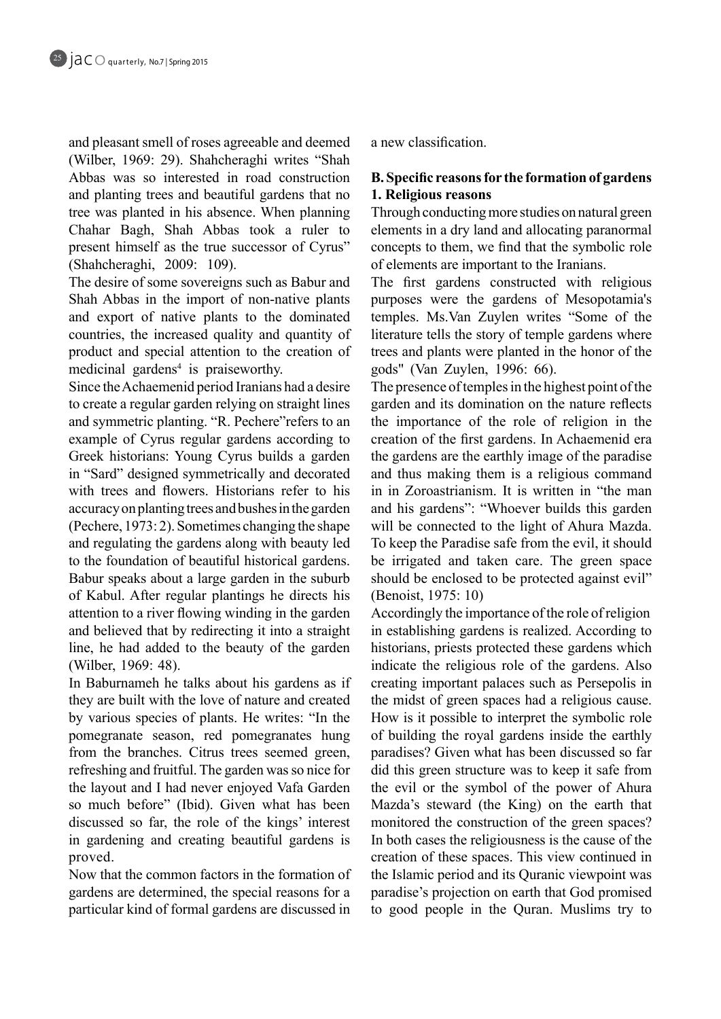and pleasant smell of roses agreeable and deemed (Wilber, 1969: 29). Shahcheraghi writes "Shah Abbas was so interested in road construction and planting trees and beautiful gardens that no tree was planted in his absence. When planning Chahar Bagh, Shah Abbas took a ruler to present himself as the true successor of Cyrus" (Shahcheraghi, 2009: 109).

The desire of some sovereigns such as Babur and Shah Abbas in the import of non-native plants and export of native plants to the dominated countries, the increased quality and quantity of product and special attention to the creation of medicinal gardens<sup>4</sup> is praiseworthy.

Since the Achaemenid period Iranians had a desire to create a regular garden relying on straight lines and symmetric planting. "R. Pechere" refers to an example of Cyrus regular gardens according to Greek historians: Young Cyrus builds a garden in "Sard" designed symmetrically and decorated with trees and flowers. Historians refer to his accuracy on planting trees and bushes in the garden  $P^2$  (Pechere, 1973: 2). Sometimes changing the shape and regulating the gardens along with beauty led to the foundation of beautiful historical gardens. Babur speaks about a large garden in the suburb of Kabul. After regular plantings he directs his attention to a river flowing winding in the garden and believed that by redirecting it into a straight line, he had added to the beauty of the garden (Wilber, 1969: 48).

In Baburnameh he talks about his gardens as if they are built with the love of nature and created by various species of plants. He writes: "In the pomegranate season, red pomegranates hung from the branches. Citrus trees seemed green, refreshing and fruitful. The garden was so nice for the layout and I had never enjoyed Vafa Garden so much before" (Ibid). Given what has been discussed so far, the role of the kings' interest in gardening and creating beautiful gardens is .proved

Now that the common factors in the formation of gardens are determined, the special reasons for a particular kind of formal gardens are discussed in

a new classification

## **B.** Specific reasons for the formation of gardens **1. Religious reasons**

Through conducting more studies on natural green elements in a dry land and allocating paranormal concepts to them, we find that the symbolic role of elements are important to the Iranians.

The first gardens constructed with religious purposes were the gardens of Mesopotamia's temples. Ms. Van Zuylen writes "Some of the literature tells the story of temple gardens where trees and plants were planted in the honor of the gods" (Van Zuylen, 1996: 66).

The presence of temples in the highest point of the garden and its domination on the nature reflects the importance of the role of religion in the creation of the first gardens. In Achaemenid era the gardens are the earthly image of the paradise and thus making them is a religious command in in Zoroastrianism. It is written in "the man and his gardens": "Whoever builds this garden will be connected to the light of Ahura Mazda. To keep the Paradise safe from the evil, it should be irrigated and taken care. The green space should be enclosed to be protected against evil" (Benoist, 1975: 10)

Accordingly the importance of the role of religion in establishing gardens is realized. According to historians, priests protected these gardens which indicate the religious role of the gardens. Also creating important palaces such as Persepolis in the midst of green spaces had a religious cause. How is it possible to interpret the symbolic role of building the royal gardens inside the earthly paradises? Given what has been discussed so far did this green structure was to keep it safe from the evil or the symbol of the power of Ahura Mazda's steward (the King) on the earth that monitored the construction of the green spaces? In both cases the religiousness is the cause of the creation of these spaces. This view continued in the Islamic period and its Quranic viewpoint was paradise's projection on earth that God promised to good people in the Quran. Muslims try to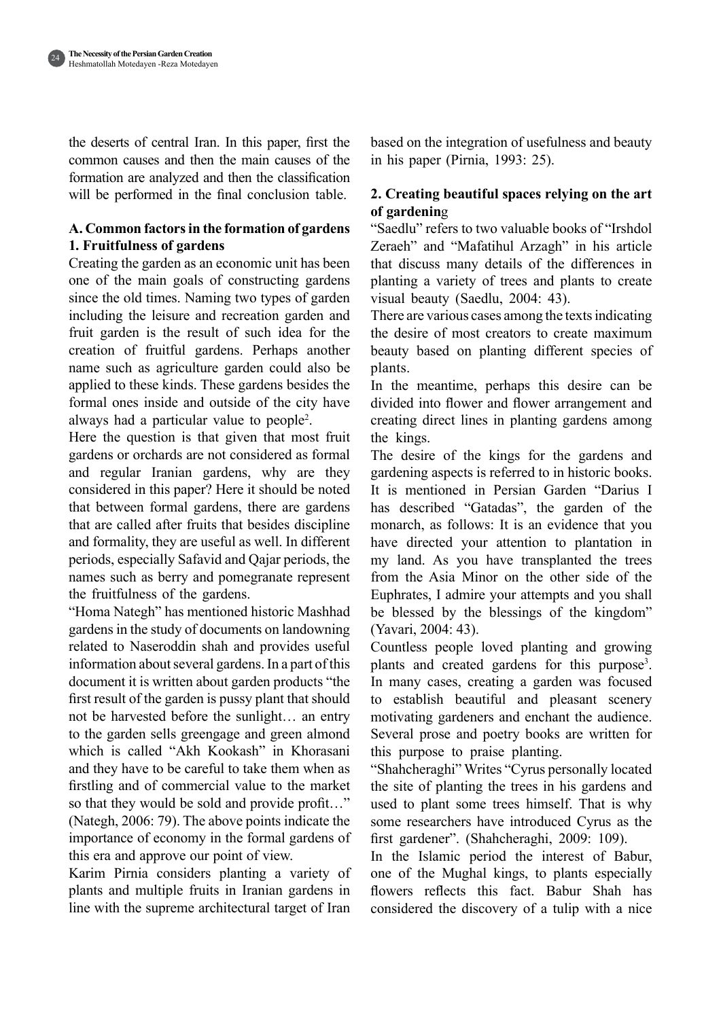241

the deserts of central Iran. In this paper, first the common causes and then the main causes of the formation are analyzed and then the classification will be performed in the final conclusion table.

## A. Common factors in the formation of gardens **1. Fruitfulness of gardens**

Creating the garden as an economic unit has been one of the main goals of constructing gardens since the old times. Naming two types of garden including the leisure and recreation garden and fruit garden is the result of such idea for the creation of fruitful gardens. Perhaps another halso be also be a sagriculture garden could also be applied to these kinds. These gardens besides the formal ones inside and outside of the city have always had a particular value to people<sup>2</sup>.

Here the question is that given that most fruit gardens or orchards are not considered as formal and regular Iranian gardens, why are they considered in this paper? Here it should be noted that between formal gardens, there are gardens that are called after fruits that besides discipline and formality, they are useful as well. In different periods, especially Safavid and Qajar periods, the names such as berry and pomegranate represent the fruitfulness of the gardens.

"Homa Nategh" has mentioned historic Mashhad gardens in the study of documents on landowning related to Naseroddin shah and provides useful information about several gardens. In a part of this document it is written about garden products "the first result of the garden is pussy plant that should not be harvested before the sunlight... an entry to the garden sells greengage and green almond which is called "Akh Kookash" in Khorasani and they have to be careful to take them when as firstling and of commercial value to the market so that they would be sold and provide profit..." (Nategh,  $2006: 79$ ). The above points indicate the importance of economy in the formal gardens of this era and approve our point of view.

Karim Pirnia considers planting a variety of plants and multiple fruits in Iranian gardens in line with the supreme architectural target of Iran

based on the integration of usefulness and beauty in his paper (Pirnia,  $1993: 25$ ).

# **2. Creating beautiful spaces relying on the art gardenin**g **of**

"Saedlu" refers to two valuable books of "Irshdol" Zeraeh" and "Mafatihul Arzagh" in his article that discuss many details of the differences in planting a variety of trees and plants to create visual beauty (Saedlu, 2004: 43).

There are various cases among the texts indicating the desire of most creators to create maximum beauty based on planting different species of .plants

In the meantime, perhaps this desire can be divided into flower and flower arrangement and creating direct lines in planting gardens among the kings.

The desire of the kings for the gardens and gardening aspects is referred to in historic books. It is mentioned in Persian Garden "Darius I has described "Gatadas", the garden of the monarch, as follows: It is an evidence that you have directed your attention to plantation in my land. As you have transplanted the trees from the Asia Minor on the other side of the Euphrates, I admire your attempts and you shall be blessed by the blessings of the kingdom" (Yavari, 2004: 43).

Countless people loved planting and growing plants and created gardens for this purpose<sup>3</sup>. In many cases, creating a garden was focused to establish beautiful and pleasant scenery motivating gardeners and enchant the audience. Several prose and poetry books are written for this purpose to praise planting.

"Shahcheraghi" Writes "Cyrus personally located the site of planting the trees in his gardens and used to plant some trees himself. That is why some researchers have introduced Cyrus as the first gardener". (Shahcheraghi, 2009: 109).

In the Islamic period the interest of Babur, one of the Mughal kings, to plants especially flowers reflects this fact. Babur Shah has considered the discovery of a tulip with a nice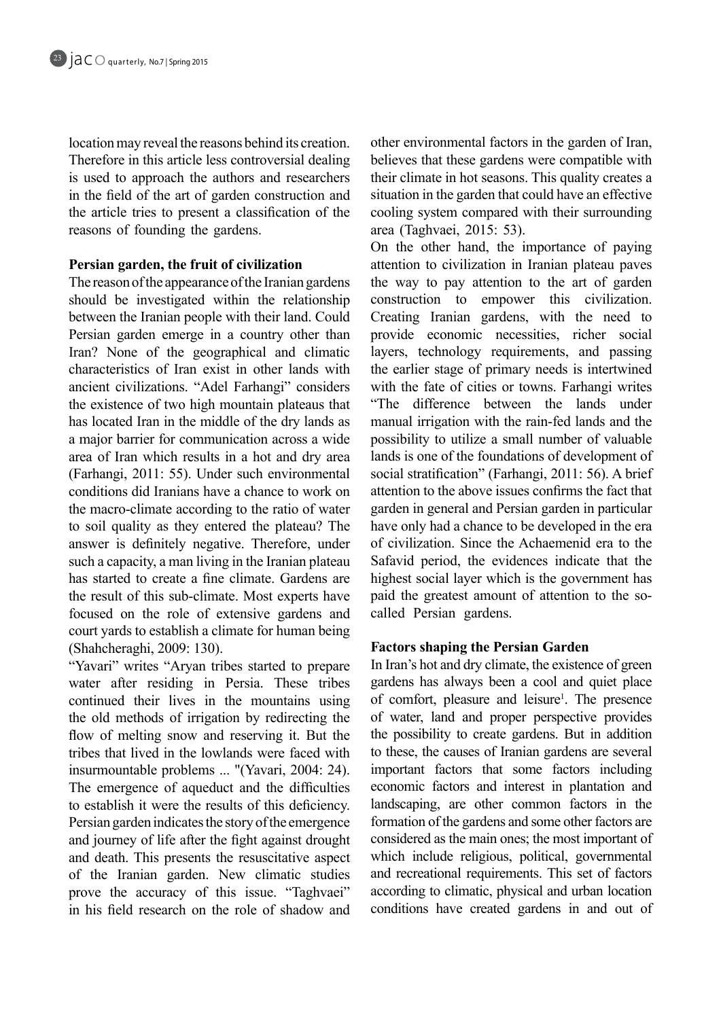location may reveal the reasons behind its creation. Therefore in this article less controversial dealing is used to approach the authors and researchers in the field of the art of garden construction and the article tries to present a classification of the reasons of founding the gardens.

## **Persian garden, the fruit of civilization**

The reason of the appearance of the Iranian gardens should be investigated within the relationship between the Iranian people with their land. Could Persian garden emerge in a country other than Iran? None of the geographical and climatic characteristics of Iran exist in other lands with ancient civilizations. "Adel Farhangi" considers the existence of two high mountain plateaus that has located Iran in the middle of the dry lands as a major barrier for communication across a wide area of Iran which results in a hot and dry area (Farhangi, 2011: 55). Under such environmental conditions did Iranians have a chance to work on the macro-climate according to the ratio of water to soil quality as they entered the plateau? The answer is definitely negative. Therefore, under such a capacity, a man living in the Iranian plateau has started to create a fine climate. Gardens are the result of this sub-climate. Most experts have focused on the role of extensive gardens and court yards to establish a climate for human being (Shahcheraghi, 2009: 130).

"Yavari" writes "Aryan tribes started to prepare water after residing in Persia. These tribes continued their lives in the mountains using the old methods of irrigation by redirecting the flow of melting snow and reserving it. But the tribes that lived in the lowlands were faced with insurmountable problems ... "(Yavari, 2004: 24). The emergence of aqueduct and the difficulties to establish it were the results of this deficiency. Persian garden indicates the story of the emergence and journey of life after the fight against drought and death. This presents the resuscitative aspect of the Iranian garden. New climatic studies prove the accuracy of this issue. "Taghvaei" in his field research on the role of shadow and other environmental factors in the garden of Iran, believes that these gardens were compatible with their climate in hot seasons. This quality creates a situation in the garden that could have an effective cooling system compared with their surrounding area (Taghvaei, 2015: 53).

On the other hand, the importance of paying attention to civilization in Iranian plateau paves the way to pay attention to the art of garden construction to empower this civilization. Creating Iranian gardens, with the need to provide economic necessities, richer social layers, technology requirements, and passing the earlier stage of primary needs is intertwined with the fate of cities or towns. Farhangi writes "The difference between the lands under manual irrigation with the rain-fed lands and the possibility to utilize a small number of valuable lands is one of the foundations of development of social stratification" (Farhangi, 2011: 56). A brief attention to the above issues confirms the fact that garden in general and Persian garden in particular have only had a chance to be developed in the era of civilization. Since the Achaemenid era to the Safavid period, the evidences indicate that the highest social layer which is the government has paid the greatest amount of attention to the so-<br>called Persian gardens.

## **Factors shaping the Persian Garden**

In Iran's hot and dry climate, the existence of green gardens has always been a cool and quiet place of comfort, pleasure and leisure<sup>1</sup>. The presence of water, land and proper perspective provides the possibility to create gardens. But in addition to these, the causes of Iranian gardens are several important factors that some factors including economic factors and interest in plantation and landscaping, are other common factors in the formation of the gardens and some other factors are considered as the main ones; the most important of which include religious, political, governmental and recreational requirements. This set of factors according to climatic, physical and urban location conditions have created gardens in and out of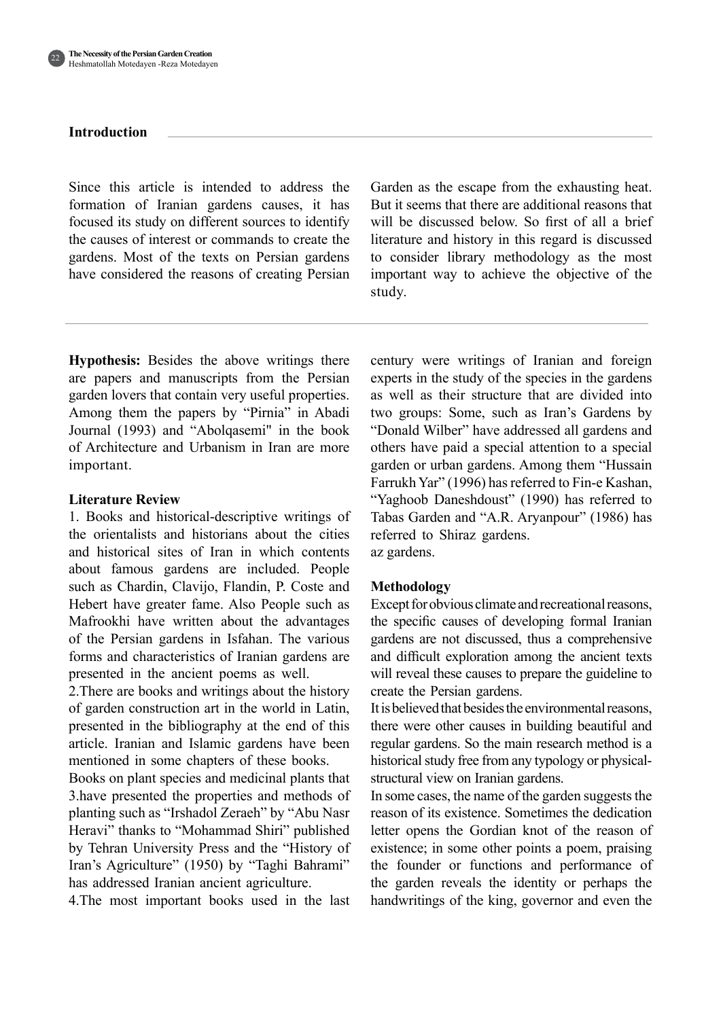

#### **Introduction**

Since this article is intended to address the formation of Iranian gardens causes, it has focused its study on different sources to identify the causes of interest or commands to create the gardens. Most of the texts on Persian gardens have considered the reasons of creating Persian Garden as the escape from the exhausting heat. But it seems that there are additional reasons that will be discussed below. So first of all a brief literature and history in this regard is discussed to consider library methodology as the most important way to achieve the objective of the study.

**Hypothesis:** Besides the above writings there are papers and manuscripts from the Persian garden lovers that contain very useful properties. Among them the papers by "Pirnia" in Abadi Journal (1993) and "Abolgasemi" in the book of Architecture and Urbanism in Iran are more .important

#### **Literature Review**

1. Books and historical-descriptive writings of the orientalists and historians about the cities and historical sites of Iran in which contents about famous gardens are included. People such as Chardin, Clavijo, Flandin, P. Coste and Hebert have greater fame. Also People such as Mafrookhi have written about the advantages of the Persian gardens in Isfahan. The various forms and characteristics of Iranian gardens are presented in the ancient poems as well.

2. There are books and writings about the history of garden construction art in the world in Latin. presented in the bibliography at the end of this article. Iranian and Islamic gardens have been mentioned in some chapters of these books.

Books on plant species and medicinal plants that 3. have presented the properties and methods of planting such as "Irshadol Zeraeh" by "Abu Nasr Heravi" thanks to "Mohammad Shiri" published by Tehran University Press and the "History of Iran's Agriculture" (1950) by "Taghi Bahrami" has addressed Iranian ancient agriculture.

4. The most important books used in the last

century were writings of Iranian and foreign experts in the study of the species in the gardens as well as their structure that are divided into two groups: Some, such as Iran's Gardens by "Donald Wilber" have addressed all gardens and others have paid a special attention to a special garden or urban gardens. Among them "Hussain Farrukh Yar" (1996) has referred to Fin-e Kashan, "Yaghoob Daneshdoust" (1990) has referred to Tabas Garden and "A.R. Aryanpour" (1986) has referred to Shiraz gardens. az gardens.

#### **Methodology**

Except for obvious climate and recreational reasons, the specific causes of developing formal Iranian gardens are not discussed, thus a comprehensive and difficult exploration among the ancient texts will reveal these causes to prepare the guideline to create the Persian gardens.

It is believed that besides the environmental reasons, there were other causes in building beautiful and regular gardens. So the main research method is a historical study free from any typology or physical-<br>structural view on Iranian gardens.

In some cases, the name of the garden suggests the reason of its existence. Sometimes the dedication letter opens the Gordian knot of the reason of existence; in some other points a poem, praising the founder or functions and performance of the garden reveals the identity or perhaps the handwritings of the king, governor and even the